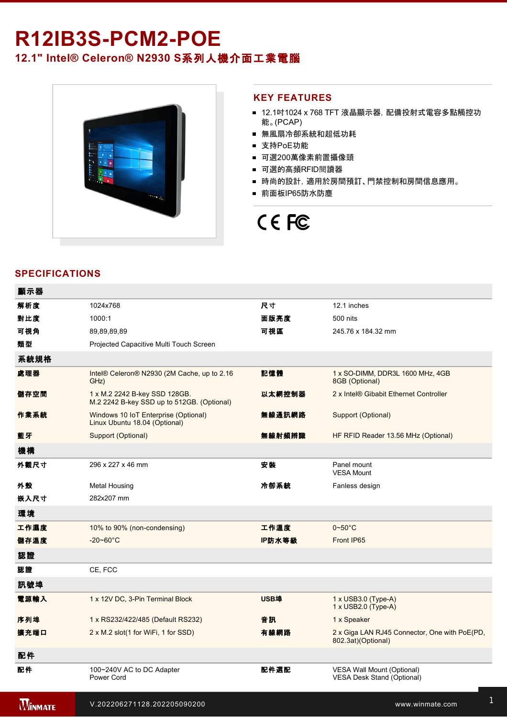# **R12IB3S-PCM2-POE 12.1" Intel® Celeron® N2930 S**系列人機介面工業電腦



# **KEY FEATURES**

- 12.1吋1024 x 768 TFT 液晶顯示器, 配備投射式電容多點觸控功 能。(PCAP)
- 無風扇冷卻系統和超低功耗
- 支持PoE功能
- 可選200萬像素前置攝像頭
- 可選的高頻RFID閱讀器
- 時尚的設計,適用於房間預訂、門禁控制和房間信息應用。
- 前面板IP65防水防塵

# CE FC

# **SPECIFICATIONS**

| 顯示器            |                                                                             |             |                                                                     |  |  |
|----------------|-----------------------------------------------------------------------------|-------------|---------------------------------------------------------------------|--|--|
| 解析度            | 1024x768                                                                    | 尺寸          | 12.1 inches                                                         |  |  |
| 對比度            | 1000:1                                                                      | 面版亮度        | 500 nits                                                            |  |  |
| 可視角            | 89,89,89,89                                                                 | 可視區         | 245.76 x 184.32 mm                                                  |  |  |
| 類型             | Projected Capacitive Multi Touch Screen                                     |             |                                                                     |  |  |
| 系統規格           |                                                                             |             |                                                                     |  |  |
| 處理器            | Intel® Celeron® N2930 (2M Cache, up to 2.16<br>GHz)                         | 記憶體         | 1 x SO-DIMM, DDR3L 1600 MHz, 4GB<br>8GB (Optional)                  |  |  |
| 儲存空間           | 1 x M.2 2242 B-key SSD 128GB.<br>M.2 2242 B-key SSD up to 512GB. (Optional) | 以太網控制器      | 2 x Intel® Gibabit Ethernet Controller                              |  |  |
| 作業系統           | Windows 10 IoT Enterprise (Optional)<br>Linux Ubuntu 18.04 (Optional)       | 無線通訊網路      | Support (Optional)                                                  |  |  |
| 藍牙             | Support (Optional)                                                          | 無線射頻辨識      | HF RFID Reader 13.56 MHz (Optional)                                 |  |  |
| 機構             |                                                                             |             |                                                                     |  |  |
| 外觀尺寸           | 296 x 227 x 46 mm                                                           | 安装          | Panel mount<br><b>VESA Mount</b>                                    |  |  |
| 外殼             | Metal Housing                                                               | 冷卻系統        | Fanless design                                                      |  |  |
| 嵌入尺寸           | 282x207 mm                                                                  |             |                                                                     |  |  |
| 環境             |                                                                             |             |                                                                     |  |  |
| 工作濕度           | 10% to 90% (non-condensing)                                                 | 工作溫度        | $0\nightharpoonup 50^\circ C$                                       |  |  |
| 儲存溫度           | $-20 - 60^{\circ}$ C                                                        | IP防水等級      | Front IP65                                                          |  |  |
| 認證             |                                                                             |             |                                                                     |  |  |
| 認證             | CE, FCC                                                                     |             |                                                                     |  |  |
| 訊號埠            |                                                                             |             |                                                                     |  |  |
| 電源輸入           | 1 x 12V DC, 3-Pin Terminal Block                                            | <b>USB埠</b> | 1 x USB3.0 (Type-A)<br>1 x USB2.0 (Type-A)                          |  |  |
| 序列埠            | 1 x RS232/422/485 (Default RS232)                                           | 音訊          | 1 x Speaker                                                         |  |  |
| 擴充端口           | 2 x M.2 slot(1 for WiFi, 1 for SSD)                                         | 有線網路        | 2 x Giga LAN RJ45 Connector, One with PoE(PD,<br>802.3at)(Optional) |  |  |
| 配件             |                                                                             |             |                                                                     |  |  |
| 配件             | 100~240V AC to DC Adapter<br>Power Cord                                     | 配件選配        | VESA Wall Mount (Optional)<br><b>VESA Desk Stand (Optional)</b>     |  |  |
| <b>WINMATE</b> | V.202206271128.202205090200                                                 |             | www.winmate.com                                                     |  |  |